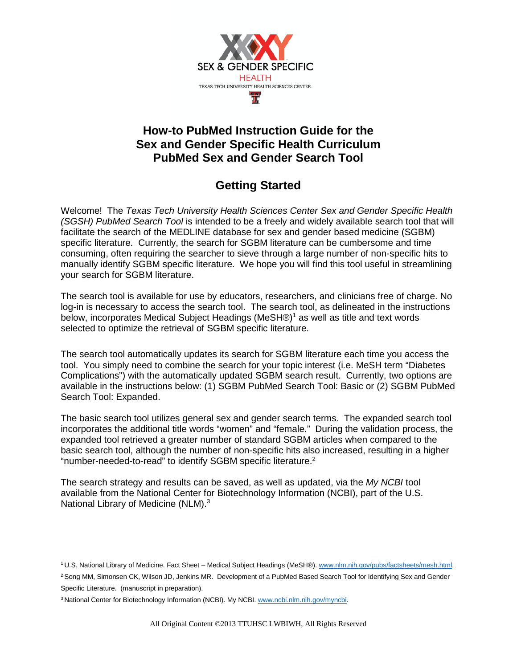

## **How-to PubMed Instruction Guide for the Sex and Gender Specific Health Curriculum PubMed Sex and Gender Search Tool**

# **Getting Started**

Welcome! The *Texas Tech University Health Sciences Center Sex and Gender Specific Health (SGSH) PubMed Search Tool* is intended to be a freely and widely available search tool that will facilitate the search of the MEDLINE database for sex and gender based medicine (SGBM) specific literature. Currently, the search for SGBM literature can be cumbersome and time consuming, often requiring the searcher to sieve through a large number of non-specific hits to manually identify SGBM specific literature. We hope you will find this tool useful in streamlining your search for SGBM literature.

The search tool is available for use by educators, researchers, and clinicians free of charge. No log-in is necessary to access the search tool. The search tool, as delineated in the instructions below, incorporates Medical Subject Headings (MeSH®)1 as well as title and text words selected to optimize the retrieval of SGBM specific literature.

The search tool automatically updates its search for SGBM literature each time you access the tool. You simply need to combine the search for your topic interest (i.e. MeSH term "Diabetes Complications") with the automatically updated SGBM search result. Currently, two options are available in the instructions below: (1) SGBM PubMed Search Tool: Basic or (2) SGBM PubMed Search Tool: Expanded.

The basic search tool utilizes general sex and gender search terms. The expanded search tool incorporates the additional title words "women" and "female." During the validation process, the expanded tool retrieved a greater number of standard SGBM articles when compared to the basic search tool, although the number of non-specific hits also increased, resulting in a higher "number-needed-to-read" to identify SGBM specific literature.<sup>2</sup>

The search strategy and results can be saved, as well as updated, via the *My NCBI* tool available from the National Center for Biotechnology Information (NCBI), part of the U.S. National Library of Medicine (NLM).<sup>3</sup>

<sup>1</sup> U.S. National Library of Medicine. Fact Sheet – Medical Subject Headings (MeSH®). [www.nlm.nih.gov/pubs/factsheets/mesh.html.](http://www.nlm.nih.gov/pubs/factsheets/mesh.html)

<sup>&</sup>lt;sup>2</sup> Song MM, Simonsen CK, Wilson JD, Jenkins MR. Development of a PubMed Based Search Tool for Identifying Sex and Gender Specific Literature. (manuscript in preparation).

<sup>3</sup> National Center for Biotechnology Information (NCBI). My NCBI[. www.ncbi.nlm.nih.gov/myncbi.](http://www.ncbi.nlm.nih.gov/myncbi)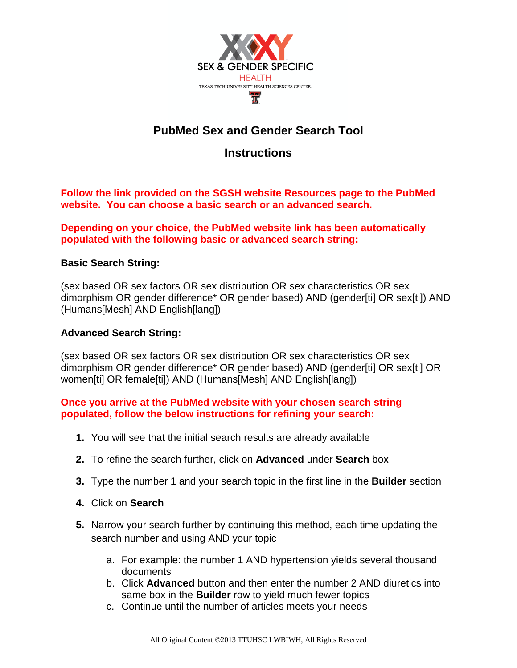

# **PubMed Sex and Gender Search Tool**

## **Instructions**

**Follow the link provided on the SGSH website Resources page to the PubMed website. You can choose a basic search or an advanced search.** 

### **Depending on your choice, the PubMed website link has been automatically populated with the following basic or advanced search string:**

### **Basic Search String:**

(sex based OR sex factors OR sex distribution OR sex characteristics OR sex dimorphism OR gender difference\* OR gender based) AND (gender[ti] OR sex[ti]) AND (Humans[Mesh] AND English[lang])

### **Advanced Search String:**

(sex based OR sex factors OR sex distribution OR sex characteristics OR sex dimorphism OR gender difference\* OR gender based) AND (gender[ti] OR sex[ti] OR women[ti] OR female[ti]) AND (Humans[Mesh] AND English[lang])

### **Once you arrive at the PubMed website with your chosen search string populated, follow the below instructions for refining your search:**

- **1.** You will see that the initial search results are already available
- **2.** To refine the search further, click on **Advanced** under **Search** box
- **3.** Type the number 1 and your search topic in the first line in the **Builder** section
- **4.** Click on **Search**
- **5.** Narrow your search further by continuing this method, each time updating the search number and using AND your topic
	- a. For example: the number 1 AND hypertension yields several thousand documents
	- b. Click **Advanced** button and then enter the number 2 AND diuretics into same box in the **Builder** row to yield much fewer topics
	- c. Continue until the number of articles meets your needs